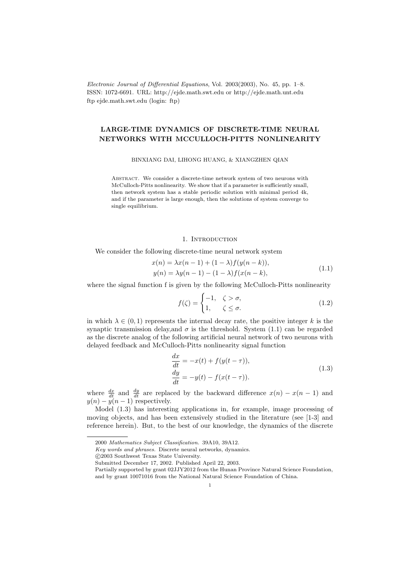Electronic Journal of Differential Equations, Vol. 2003(2003), No. 45, pp. 1–8. ISSN: 1072-6691. URL: http://ejde.math.swt.edu or http://ejde.math.unt.edu ftp ejde.math.swt.edu (login: ftp)

# LARGE-TIME DYNAMICS OF DISCRETE-TIME NEURAL NETWORKS WITH MCCULLOCH-PITTS NONLINEARITY

BINXIANG DAI, LIHONG HUANG, & XIANGZHEN QIAN

ABSTRACT. We consider a discrete-time network system of two neurons with McCulloch-Pitts nonlinearity. We show that if a parameter is sufficiently small, then network system has a stable periodic solution with minimal period 4k, and if the parameter is large enough, then the solutions of system converge to single equilibrium.

## 1. INTRODUCTION

We consider the following discrete-time neural network system

$$
x(n) = \lambda x(n-1) + (1-\lambda)f(y(n-k)),
$$
  
\n
$$
y(n) = \lambda y(n-1) - (1-\lambda)f(x(n-k)),
$$
\n(1.1)

where the signal function f is given by the following McCulloch-Pitts nonlinearity

$$
f(\zeta) = \begin{cases} -1, & \zeta > \sigma, \\ 1, & \zeta \le \sigma. \end{cases}
$$
 (1.2)

in which  $\lambda \in (0,1)$  represents the internal decay rate, the positive integer k is the synaptic transmission delay, and  $\sigma$  is the threshold. System (1.1) can be regarded as the discrete analog of the following artificial neural network of two neurons with delayed feedback and McCulloch-Pitts nonlinearity signal function

$$
\frac{dx}{dt} = -x(t) + f(y(t-\tau)),
$$
  
\n
$$
\frac{dy}{dt} = -y(t) - f(x(t-\tau)).
$$
\n(1.3)

where  $\frac{dx}{dt}$  and  $\frac{dy}{dt}$  are replaced by the backward difference  $x(n) - x(n-1)$  and  $y(n) - y(n-1)$  respectively.

Model (1.3) has interesting applications in, for example, image processing of moving objects, and has been extensively studied in the literature (see [1-3] and reference herein). But, to the best of our knowledge, the dynamics of the discrete

c 2003 Southwest Texas State University.

<sup>2000</sup> Mathematics Subject Classification. 39A10, 39A12.

Key words and phrases. Discrete neural networks, dynamics.

Submitted December 17, 2002. Published April 22, 2003.

Partially supported by grant 02JJY2012 from the Hunan Province Natural Science Foundation, and by grant 10071016 from the National Natural Science Foundation of China.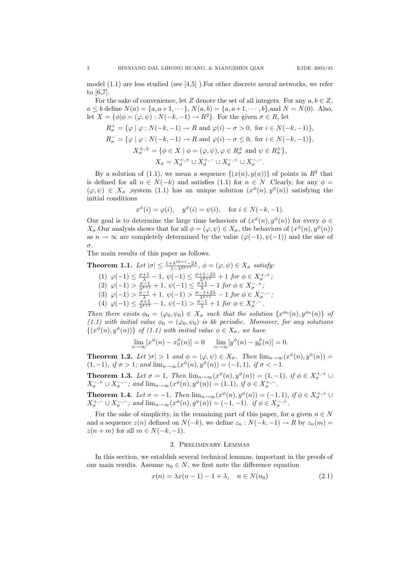model (1.1) are less studied (see [4,5] ).For other discrete neural networks, we refer to [6,7].

For the sake of convenience, let Z denote the set of all integers. For any  $a, b \in \mathbb{Z}$ ,  $a \le b$  define  $N(a) = \{a, a+1, \dots\}$ ,  $N(a, b) = \{a, a+1, \dots, b\}$ , and  $N = N(0)$ . Also, let  $X = {\phi | \phi = (\varphi, \psi) : N(-k, -1) \to R^2}$ . For the given  $\sigma \in R$ , let

$$
R^+_{\sigma} = \{ \varphi \mid \varphi : N(-k, -1) \to R \text{ and } \varphi(i) - \sigma > 0, \text{ for } i \in N(-k, -1) \},
$$
  
\n
$$
R^-_{\sigma} = \{ \varphi \mid \varphi : N(-k, -1) \to R \text{ and } \varphi(i) - \sigma \le 0, \text{ for } i \in N(-k, -1) \},
$$
  
\n
$$
X^{+,\pm}_{\sigma} = \{ \phi \in X \mid \phi = (\varphi, \psi), \varphi \in R^{\pm}_{\sigma} \text{ and } \psi \in R^{\pm}_{\sigma} \},
$$
  
\n
$$
X_{\sigma} = X^{+,+}_{\sigma} \cup X^{+,-}_{\sigma} \cup X^{-,-}_{\sigma} \cup X^{-,-}_{\sigma}.
$$

By a solution of (1.1), we mean a sequence  $\{(x(n), y(n))\}$  of points in  $\mathbb{R}^2$  that is defined for all  $n \in N(-k)$  and satisfies (1.1) for  $n \in N$  . Clearly, for any  $\phi =$  $(\varphi, \psi) \in X_{\sigma}$ , system (1.1) has an unique solution  $(x^{\phi}(n), y^{\phi}(n))$  satisfying the initial conditions

$$
x^{\phi}(i) = \varphi(i), \quad y^{\phi}(i) = \psi(i), \quad \text{for } i \in N(-k, -1).
$$

Our goal is to determine the large time behaviors of  $(x^{\phi}(n), y^{\phi}(n))$  for every  $\phi \in$  $X_{\sigma}$ . Our analysis shows that for all  $\phi = (\varphi, \psi) \in X_{\sigma}$ , the behaviors of  $(x^{\phi}(n), y^{\phi}(n))$ as  $n \to \infty$  are completely determined by the value  $(\varphi(-1), \psi(-1))$  and the size of σ.

The main results of this paper as follows.

**Theorem 1.1.** Let  $|\sigma| \leq \frac{1 + \lambda^{2k+1} - 2\lambda}{1 - \lambda^{2k+1}}, \phi = (\varphi, \psi) \in X_{\sigma}$  satisfy:

- (1)  $\varphi(-1) \leq \frac{\sigma+1}{\lambda} 1$ ,  $\psi(-1) \leq \frac{\sigma+1-2\lambda}{\lambda^{k+1}} + 1$  for  $\phi \in X^{+,+}_{\sigma}$ ;
- (2)  $\varphi(-1) > \frac{\sigma 1}{\lambda^{k+1}} + 1$ ,  $\psi(-1) \leq \frac{\sigma + 1}{\lambda} 1$  for  $\phi \in X_{\sigma}^{-, +}$ ;
- (3)  $\varphi(-1) > \frac{\sigma 1}{\lambda} + 1$ ,  $\psi(-1) > \frac{\sigma 1 + 2\lambda}{\lambda^{k+1}} 1$  for  $\phi \in X_{\sigma}^{-,-}$ ;
- (4)  $\varphi(-1) \leq \frac{\sigma+1}{\lambda^{k+1}} 1$ ,  $\psi(-1) > \frac{\sigma-1}{\lambda} + 1$  for  $\phi \in X_{\sigma}^{+,-}$ .

Then there exists  $\phi_0 = (\varphi_0, \psi_0) \in X_{\sigma}$  such that the solution  $\{x^{\phi_0}(n), y^{\phi_0}(n)\}$  of (1.1) with initial value  $\phi_0 = (\varphi_0, \psi_0)$  is 4k periodic. Moreover, for any solutions  $\{(x^{\phi}(n), y^{\phi}(n))\}$  of (1.1) with initial value  $\phi \in X_{\sigma}$ , we have

$$
\lim_{n \to \infty} [x^{\phi}(n) - x_0^{\phi}(n)] = 0 \quad \lim_{n \to \infty} [y^{\phi}(n) - y_0^{\phi}(n)] = 0.
$$

**Theorem 1.2.** Let  $|\sigma| > 1$  and  $\phi = (\varphi, \psi) \in X_{\sigma}$ . Then  $\lim_{n \to \infty} (x^{\phi}(n), y^{\phi}(n)) =$ (1,−1), if  $\sigma > 1$ ; and  $\lim_{n \to \infty} (x^{\phi}(n), y^{\phi}(n)) = (-1, 1)$ , if  $\sigma < -1$ .

**Theorem 1.3.** Let  $\sigma = 1$ , Then  $\lim_{n \to \infty} (x^{\phi}(n), y^{\phi}(n)) = (1, -1)$ , if  $\phi \in X_{\sigma}^{+,+}$  $X_{\sigma}^{-,+} \cup X_{\sigma}^{-,-}$ ; and  $\lim_{n \to \infty} (x^{\phi}(n), y^{\phi}(n)) = (1,1)$ , if  $\phi \in X_{\sigma}^{+,-}$ .

**Theorem 1.4.** Let  $\sigma = -1$ , Then  $\lim_{n \to \infty} (x^{\phi}(n), y^{\phi}(n)) = (-1, 1)$ , if  $\phi \in X_{\sigma}^{+,+}$  $X^{+,-}_{\sigma} \cup X^{-,-}_{\sigma}$ ; and  $\lim_{n \to \infty} (x^{\phi}(n), y^{\phi}(n)) = (-1, -1)$ . if  $\phi \in X^{-,+}_{\sigma}$ .

For the sake of simplicity, in the remaining part of this paper, for a given  $n \in N$ and a sequence  $z(n)$  defined on  $N(-k)$ , we define  $z_n : N(-k, -1) \to R$  by  $z_n(m) =$  $z(n + m)$  for all  $m \in N(-k, -1)$ .

#### 2. Preliminary Lemmas

In this section, we establish several technical lemmas, important in the proofs of our main results. Assume  $n_0 \in N$ , we first note the difference equation

$$
x(n) = \lambda x(n-1) - 1 + \lambda, \quad n \in N(n_0)
$$
\n(2.1)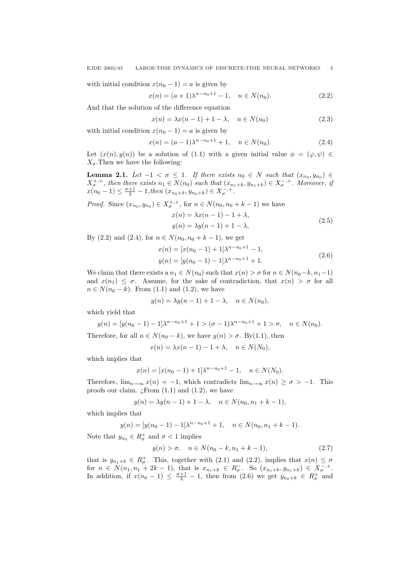with initial condition  $x(n_0 - 1) = a$  is given by

$$
x(n) = (a+1)\lambda^{n-n_0+1} - 1, \quad n \in N(n_0).
$$
 (2.2)

And that the solution of the difference equation

$$
x(n) = \lambda x(n-1) + 1 - \lambda, \quad n \in N(n_0)
$$
\n
$$
(2.3)
$$

with initial condition  $x(n_0 - 1) = a$  is given by

$$
x(n) = (a-1)\lambda^{n-n_0+1} + 1, \quad n \in N(n_0).
$$
 (2.4)

Let  $(x(n), y(n))$  be a solution of (1.1) with a given initial value  $\phi = (\varphi, \psi) \in$  $X_{\sigma}$ . Then we have the following:

**Lemma 2.1.** Let  $-1 < \sigma \leq 1$ . If there exists  $n_0 \in N$  such that  $(x_{n_0}, y_{n_0}) \in$  $X_{\sigma}^{+,+}$ , then there exists  $n_1 \in N(n_0)$  such that  $(x_{n_1+k}, y_{n_1+k}) \in X_{\sigma}^{-,+}$ . Moreover, if  $x(n_0-1) \leq \frac{\sigma+1}{\lambda} - 1, \text{then } (x_{n_0+k}, y_{n_0+k}) \in X_{\sigma}^{-, +}.$ 

*Proof.* Since  $(x_{n_0}, y_{n_0}) \in X_{\sigma}^{+,+}$ , for  $n \in N(n_0, n_0 + k - 1)$  we have

$$
x(n) = \lambda x(n-1) - 1 + \lambda,
$$
  
\n
$$
y(n) = \lambda y(n-1) + 1 - \lambda,
$$
\n(2.5)

By (2.2) and (2.4), for  $n \in N(n_0, n_0 + k - 1)$ , we get

$$
x(n) = [x(n_0 - 1) + 1] \lambda^{n - n_0 + 1} - 1,
$$
  
\n
$$
y(n) = [y(n_0 - 1) - 1] \lambda^{n - n_0 + 1} + 1.
$$
\n(2.6)

We claim that there exists a  $n_1 \in N(n_0)$  such that  $x(n) > \sigma$  for  $n \in N(n_0-k, n_1-1)$ and  $x(n_1) \leq \sigma$ . Assume, for the sake of contradiction, that  $x(n) > \sigma$  for all  $n \in N(n_0 - k)$ . From (1.1) and (1.2), we have

$$
y(n) = \lambda y(n-1) + 1 - \lambda, \quad n \in N(n_0),
$$

which yield that

$$
y(n) = [y(n_0 - 1) - 1]\lambda^{n - n_0 + 1} + 1 > (\sigma - 1)\lambda^{n - n_0 + 1} + 1 > \sigma, \quad n \in N(n_0).
$$

Therefore, for all  $n \in N(n_0 - k)$ , we have  $y(n) > \sigma$ . By(1.1), then

$$
x(n) = \lambda x(n-1) - 1 + \lambda, \quad n \in N(N_0),
$$

which implies that

$$
x(n) = [x(n_0 - 1) + 1] \lambda^{n - n_0 + 1} - 1, \quad n \in N(N_0).
$$

Therefore,  $\lim_{n\to\infty} x(n) = -1$ , which contradicts  $\lim_{n\to\infty} x(n) \geq \sigma > -1$ . This proofs our claim.  $i$ From  $(1.1)$  and  $(1.2)$ , we have

$$
y(n) = \lambda y(n-1) + 1 - \lambda, \quad n \in N(n_0, n_1 + k - 1),
$$

which implies that

$$
y(n) = [y(n_0 - 1) - 1]\lambda^{n - n_0 + 1} + 1, \quad n \in N(n_0, n_1 + k - 1).
$$

Note that  $y_{n_0} \in R^+_\sigma$  and  $\sigma < 1$  implies

$$
y(n) > \sigma, \quad n \in N(n_0 - k, n_1 + k - 1), \tag{2.7}
$$

that is  $y_{n_1+k} \in R^+_{\sigma}$ . This, together with (2.1) and (2.2), implies that  $x(n) \leq \sigma$ for  $n \in N(n_1, n_1 + 2k - 1)$ , that is  $x_{n_1+k} \in R_{\sigma}^-$ . So  $(x_{n_1+k}, y_{n_1+k}) \in X_{\sigma}^{-,+}$ . In addition, if  $x(n_0 - 1) \leq \frac{\sigma+1}{\lambda} - 1$ , then from (2.6) we get  $y_{n_0+k} \in R^+_{\sigma}$  and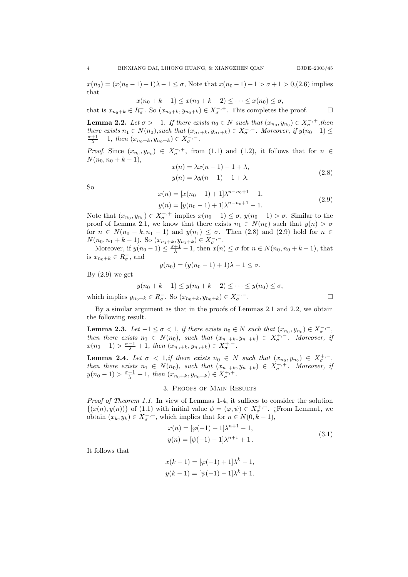$x(n_0) = (x(n_0 - 1) + 1)\lambda - 1 \leq \sigma$ , Note that  $x(n_0 - 1) + 1 > \sigma + 1 > 0$ , (2.6) implies that

$$
x(n_0 + k - 1) \le x(n_0 + k - 2) \le \dots \le x(n_0) \le \sigma,
$$

that is  $x_{n_0+k} \in R_{\sigma}^-$ . So  $(x_{n_0+k}, y_{n_0+k}) \in X_{\sigma}^{-,+}$ . This completes the proof.  $\Box$ 

**Lemma 2.2.** Let  $\sigma > -1$ . If there exists  $n_0 \in N$  such that  $(x_{n_0}, y_{n_0}) \in X_{\sigma}^{-, +}$ , then there exists  $n_1 \in N(n_0)$ , such that  $(x_{n_1+k}, y_{n_1+k}) \in X_{\sigma}^{-,-}$ . Moreover, if  $y(n_0-1) \leq$  $\frac{\sigma+1}{\lambda} - 1$ , then  $(x_{n_0+k}, y_{n_0+k}) \in X_{\sigma}^{-,-}$ .

*Proof.* Since  $(x_{n_0}, y_{n_0}) \in X_{\sigma}^{-,+}$ , from (1.1) and (1.2), it follows that for  $n \in$  $N(n_0, n_0 + k - 1),$  $x(n) = \lambda_n (n-1)$ 

$$
x(n) = \lambda x(n-1) - 1 + \lambda,
$$
  
\n
$$
y(n) = \lambda y(n-1) - 1 + \lambda.
$$
\n(2.8)

So

$$
x(n) = [x(n_0 - 1) + 1] \lambda^{n-n_0+1} - 1,
$$
  
\n
$$
y(n) = [y(n_0 - 1) + 1] \lambda^{n-n_0+1} - 1.
$$
\n(2.9)

Note that  $(x_{n_0}, y_{n_0}) \in X_{\sigma}^{-,+}$  implies  $x(n_0 - 1) \leq \sigma$ ,  $y(n_0 - 1) > \sigma$ . Similar to the proof of Lemma 2.1, we know that there exists  $n_1 \in N(n_0)$  such that  $y(n) > \sigma$ for  $n \in N(n_0 - k, n_1 - 1)$  and  $y(n_1) \leq \sigma$ . Then (2.8) and (2.9) hold for  $n \in$  $N(n_0, n_1 + k - 1)$ . So  $(x_{n_1+k}, y_{n_1+k}) \in X_{\sigma}^{-,-}$ .

Moreover, if  $y(n_0 - 1) \leq \frac{\sigma + 1}{\lambda} - 1$ , then  $x(n) \leq \sigma$  for  $n \in N(n_0, n_0 + k - 1)$ , that is  $x_{n_0+k} \in R_{\sigma}^-$ , and

$$
y(n_0) = (y(n_0 - 1) + 1)\lambda - 1 \le \sigma.
$$

By  $(2.9)$  we get

$$
y(n_0 + k - 1) \le y(n_0 + k - 2) \le \dots \le y(n_0) \le \sigma,
$$

which implies  $y_{n_0+k} \in R_{\sigma}^-$ . So  $(x_{n_0+k}, y_{n_0+k}) \in X_{\sigma}^{-,-}$ . — Первый процесс в постановки программа в серверном становки производительно становки производите с производ<br>В серверном становки производительно становки производительно становки производительно становки производительн

By a similar argument as that in the proofs of Lemmas 2.1 and 2.2, we obtain the following result.

**Lemma 2.3.** Let  $-1 \leq \sigma < 1$ , if there exists  $n_0 \in N$  such that  $(x_{n_0}, y_{n_0}) \in X_{\sigma}^{-,-}$ , then there exists  $n_1 \in N(n_0)$ , such that  $(x_{n_1+k}, y_{n_1+k}) \in X^{+, -}_{\sigma}$ . Moreover, if  $x(n_0-1) > \frac{\sigma-1}{\lambda} + 1$ , then  $(x_{n_0+k}, y_{n_0+k}) \in X_{\sigma}^{+,-}$ .

**Lemma 2.4.** Let  $\sigma$  < 1,if there exists  $n_0 \in N$  such that  $(x_{n_0}, y_{n_0}) \in X_{\sigma}^{+,-}$ , then there exists  $n_1 \in N(n_0)$ , such that  $(x_{n_1+k}, y_{n_1+k}) \in X_{\sigma}^{+, +}$ . Moreover, if  $y(n_0 - 1) > \frac{\sigma - 1}{\lambda} + 1$ , then  $(x_{n_0+k}, y_{n_0+k}) \in X_{\sigma}^{+,+}$ .

### 3. Proofs of Main Results

Proof of Theorem 1.1. In view of Lemmas 1-4, it suffices to consider the solution  $\{(x(n), y(n))\}$  of (1.1) with initial value  $\phi = (\varphi, \psi) \in X_{\sigma}^{+,+}$ . ¿From Lemma1, we obtain  $(x_k, y_k) \in X_{\sigma}^{-, +}$ , which implies that for  $n \in N(0, k-1)$ ,

$$
x(n) = [\varphi(-1) + 1] \lambda^{n+1} - 1,
$$
  
\n
$$
y(n) = [\psi(-1) - 1] \lambda^{n+1} + 1.
$$
\n(3.1)

It follows that

$$
x(k-1) = [\varphi(-1) + 1]\lambda^{k} - 1,
$$
  

$$
y(k-1) = [\psi(-1) - 1]\lambda^{k} + 1.
$$

$$
\sqcup
$$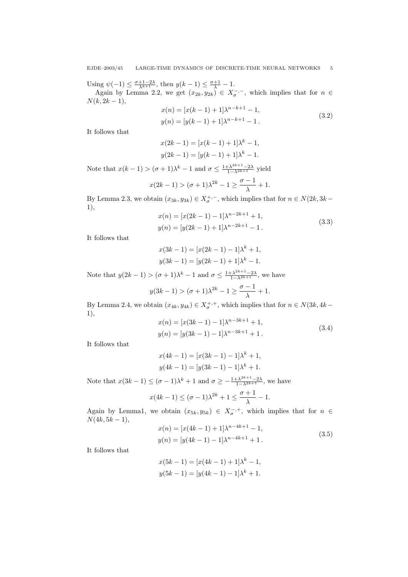Using  $\psi(-1) \leq \frac{\sigma+1-2\lambda}{\lambda^{k+1}}$ , then  $y(k-1) \leq \frac{\sigma+1}{\lambda} - 1$ .

Again by Lemma 2.2, we get  $(x_{2k}, y_{2k}) \in X_{\sigma}^{-,-}$ , which implies that for  $n \in$  $N(k, 2k - 1),$ 

$$
x(n) = [x(k-1) + 1] \lambda^{n-k+1} - 1,
$$
  
\n
$$
y(n) = [y(k-1) + 1] \lambda^{n-k+1} - 1.
$$
\n(3.2)

It follows that

$$
x(2k - 1) = [x(k - 1) + 1]\lambda^{k} - 1,
$$
  

$$
y(2k - 1) = [y(k - 1) + 1]\lambda^{k} - 1.
$$

Note that  $x(k-1) > (\sigma+1)\lambda^k - 1$  and  $\sigma \leq \frac{1+\lambda^{2k+1}-2\lambda}{1-\lambda^{2k+1}}$  yield

$$
x(2k - 1) > (\sigma + 1)\lambda^{2k} - 1 \ge \frac{\sigma - 1}{\lambda} + 1.
$$

By Lemma 2.3, we obtain  $(x_{3k}, y_{3k}) \in X^{+, -}_\sigma$ , which implies that for  $n \in N(2k, 3k-$ 1),

$$
x(n) = [x(2k - 1) - 1] \lambda^{n-2k+1} + 1,
$$
  
\n
$$
y(n) = [y(2k - 1) + 1] \lambda^{n-2k+1} - 1.
$$
\n(3.3)

It follows that

$$
x(3k - 1) = [x(2k - 1) - 1]\lambda^{k} + 1,
$$
  

$$
y(3k - 1) = [y(2k - 1) + 1]\lambda^{k} - 1.
$$

Note that  $y(2k-1) > (\sigma+1)\lambda^k - 1$  and  $\sigma \leq \frac{1+\lambda^{2k+1}-2\lambda}{1-\lambda^{2k+1}}$ , we have

$$
y(3k-1) > (\sigma+1)\lambda^{2k} - 1 \ge \frac{\sigma-1}{\lambda} + 1.
$$

By Lemma 2.4, we obtain  $(x_{4k}, y_{4k}) \in X_{\sigma}^{+,+}$ , which implies that for  $n \in N(3k, 4k -$ 1),

$$
x(n) = [x(3k - 1) - 1] \lambda^{n-3k+1} + 1,
$$
  
\n
$$
y(n) = [y(3k - 1) - 1] \lambda^{n-3k+1} + 1.
$$
\n(3.4)

It follows that

$$
x(4k - 1) = [x(3k - 1) - 1]\lambda^{k} + 1,
$$
  

$$
y(4k - 1) = [y(3k - 1) - 1]\lambda^{k} + 1.
$$

Note that  $x(3k-1) \leq (\sigma - 1)\lambda^k + 1$  and  $\sigma \geq -\frac{1+\lambda^{2k+1}-2\lambda}{1-\lambda^{2k+1}}$ , we have

$$
x(4k-1) \leq (\sigma - 1)\lambda^{2k} + 1 \leq \frac{\sigma + 1}{\lambda} - 1.
$$

Again by Lemma1, we obtain  $(x_{5k}, y_{5k}) \in X_{\sigma}^{-,+}$ , which implies that for  $n \in$  $N(4k, 5k - 1),$ 

$$
x(n) = [x(4k - 1) + 1] \lambda^{n-4k+1} - 1,
$$
  
\n
$$
y(n) = [y(4k - 1) - 1] \lambda^{n-4k+1} + 1.
$$
\n(3.5)

It follows that

$$
x(5k - 1) = [x(4k - 1) + 1] \lambda^{k} - 1,
$$
  

$$
y(5k - 1) = [y(4k - 1) - 1] \lambda^{k} + 1.
$$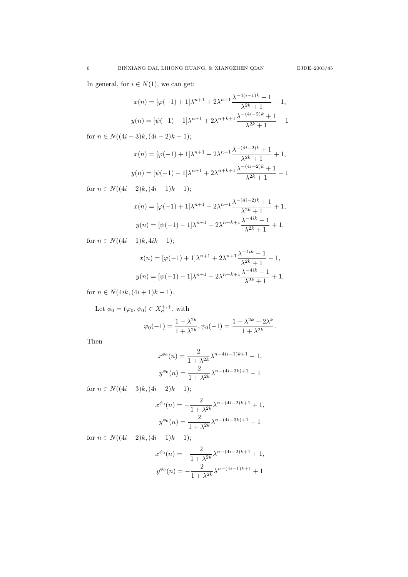In general, for  $i \in N(1)$ , we can get:

$$
x(n) = [\varphi(-1) + 1]\lambda^{n+1} + 2\lambda^{n+1}\frac{\lambda^{-4(i-1)k} - 1}{\lambda^{2k} + 1} - 1,
$$
  

$$
y(n) = [\psi(-1) - 1]\lambda^{n+1} + 2\lambda^{n+k+1}\frac{\lambda^{-(4i-2)k} + 1}{\lambda^{2k} + 1} - 1
$$

for  $n \in N((4i-3)k,(4i-2)k-1);$ 

$$
x(n) = [\varphi(-1) + 1]\lambda^{n+1} - 2\lambda^{n+1}\frac{\lambda^{-(4i-2)k} + 1}{\lambda^{2k} + 1} + 1,
$$
  

$$
y(n) = [\psi(-1) - 1]\lambda^{n+1} + 2\lambda^{n+k+1}\frac{\lambda^{-(4i-2)k} + 1}{\lambda^{2k} + 1} - 1
$$

for  $n \in N((4i-2)k,(4i-1)k-1);$ 

$$
x(n) = [\varphi(-1) + 1]\lambda^{n+1} - 2\lambda^{n+1}\frac{\lambda^{-(4i-2)k} + 1}{\lambda^{2k} + 1} + 1,
$$
  

$$
y(n) = [\psi(-1) - 1]\lambda^{n+1} - 2\lambda^{n+k+1}\frac{\lambda^{-4ik} - 1}{\lambda^{2k} + 1} + 1,
$$

for  $n \in N((4i-1)k, 4ik-1);$ 

$$
x(n) = [\varphi(-1) + 1]\lambda^{n+1} + 2\lambda^{n+1}\frac{\lambda^{-4ik} - 1}{\lambda^{2k} + 1} - 1,
$$
  

$$
y(n) = [\psi(-1) - 1]\lambda^{n+1} - 2\lambda^{n+k+1}\frac{\lambda^{-4ik} - 1}{\lambda^{2k} + 1} + 1,
$$

for  $n \in N(4ik, (4i + 1)k - 1)$ .

Let  $\phi_0 = (\varphi_0, \psi_0) \in X_{\sigma}^{+,+}$ , with

$$
\varphi_0(-1) = \frac{1 - \lambda^{2k}}{1 + \lambda^{2k}}, \psi_0(-1) = \frac{1 + \lambda^{2k} - 2\lambda^k}{1 + \lambda^{2k}}.
$$

Then

$$
x^{\phi_0}(n) = \frac{2}{1 + \lambda^{2k}} \lambda^{n-4(i-1)k+1} - 1,
$$
  

$$
y^{\phi_0}(n) = \frac{2}{1 + \lambda^{2k}} \lambda^{n-(4i-3k)+1} - 1
$$

for  $n \in N((4i-3)k,(4i-2)k-1);$ 

$$
x^{\phi_0}(n) = -\frac{2}{1 + \lambda^{2k}} \lambda^{n - (4i - 2)k + 1} + 1,
$$
  

$$
y^{\phi_0}(n) = \frac{2}{1 + \lambda^{2k}} \lambda^{n - (4i - 3k) + 1} - 1
$$

for  $n \in N((4i-2)k,(4i-1)k-1);$ 

$$
x^{\phi_0}(n) = -\frac{2}{1 + \lambda^{2k}} \lambda^{n - (4i - 2)k + 1} + 1,
$$
  

$$
y^{\phi_0}(n) = -\frac{2}{1 + \lambda^{2k}} \lambda^{n - (4i - 1)k + 1} + 1
$$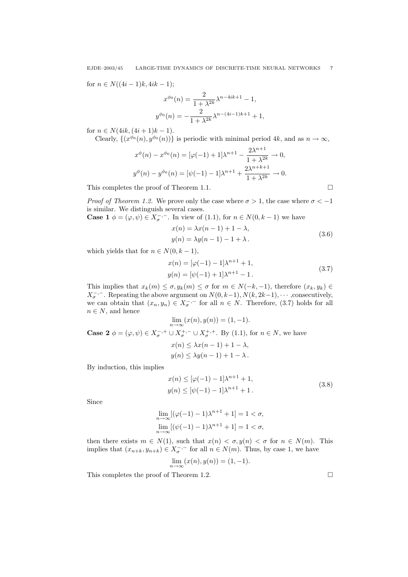for  $n \in N((4i-1)k, 4ik-1);$ 

$$
x^{\phi_0}(n) = \frac{2}{1 + \lambda^{2k}} \lambda^{n-4ik+1} - 1,
$$
  

$$
y^{\phi_0}(n) = -\frac{2}{1 + \lambda^{2k}} \lambda^{n-(4i-1)k+1} + 1,
$$

for  $n \in N(4ik, (4i + 1)k - 1)$ .

Clearly,  $\{(x^{\phi_0}(n), y^{\phi_0}(n))\}$  is periodic with minimal period 4k, and as  $n \to \infty$ ,

$$
x^{\phi}(n) - x^{\phi_0}(n) = [\varphi(-1) + 1] \lambda^{n+1} - \frac{2\lambda^{n+1}}{1 + \lambda^{2k}} \to 0,
$$
  

$$
y^{\phi}(n) - y^{\phi_0}(n) = [\psi(-1) - 1] \lambda^{n+1} + \frac{2\lambda^{n+k+1}}{1 + \lambda^{2k}} \to 0.
$$

This completes the proof of Theorem 1.1.

*Proof of Theorem 1.2.* We prove only the case where  $\sigma > 1$ , the case where  $\sigma < -1$ is similar. We distinguish several cases.

**Case 1**  $\phi = (\varphi, \psi) \in X_{\sigma}^{-,-}$ . In view of (1.1), for  $n \in N(0, k-1)$  we have

$$
x(n) = \lambda x(n-1) + 1 - \lambda,
$$
  
\n
$$
y(n) = \lambda y(n-1) - 1 + \lambda.
$$
\n(3.6)

which yields that for  $n \in N(0, k-1)$ ,

$$
x(n) = [\varphi(-1) - 1] \lambda^{n+1} + 1,
$$
  
\n
$$
y(n) = [\psi(-1) + 1] \lambda^{n+1} - 1.
$$
\n(3.7)

This implies that  $x_k(m) \leq \sigma$ ,  $y_k(m) \leq \sigma$  for  $m \in N(-k, -1)$ , therefore  $(x_k, y_k) \in$  $X_{\sigma}^{-,-}$ . Repeating the above argument on  $N(0, k-1)$ ,  $N(k, 2k-1)$ ,  $\cdots$ , consecutively, we can obtain that  $(x_n, y_n) \in X_{\sigma}^{-,-}$  for all  $n \in N$ . Therefore, (3.7) holds for all  $n \in N$ , and hence

$$
\lim_{n \to \infty} (x(n), y(n)) = (1, -1).
$$

**Case 2**  $\phi = (\varphi, \psi) \in X_{\sigma}^{-, +} \cup X_{\sigma}^{+,-} \cup X_{\sigma}^{+,+}$ . By (1.1), for  $n \in N$ , we have  $x(n) \leq \lambda x(n-1) + 1 - \lambda$ ,  $y(n) \leq \lambda y(n-1) + 1 - \lambda$ .

By induction, this implies

$$
x(n) \le [\varphi(-1) - 1] \lambda^{n+1} + 1,
$$
  
\n
$$
y(n) \le [\psi(-1) - 1] \lambda^{n+1} + 1.
$$
\n(3.8)

Since

$$
\lim_{n \to \infty} [(\varphi(-1) - 1)\lambda^{n+1} + 1] = 1 < \sigma,
$$
  

$$
\lim_{n \to \infty} [(\psi(-1) - 1)\lambda^{n+1} + 1] = 1 < \sigma,
$$

then there exists  $m \in N(1)$ , such that  $x(n) < \sigma$ ,  $y(n) < \sigma$  for  $n \in N(m)$ . This implies that  $(x_{n+k}, y_{n+k}) \in X_{\sigma}^{-,-}$  for all  $n \in N(m)$ . Thus, by case 1, we have

$$
\lim_{n \to \infty} (x(n), y(n)) = (1, -1).
$$

This completes the proof of Theorem 1.2.